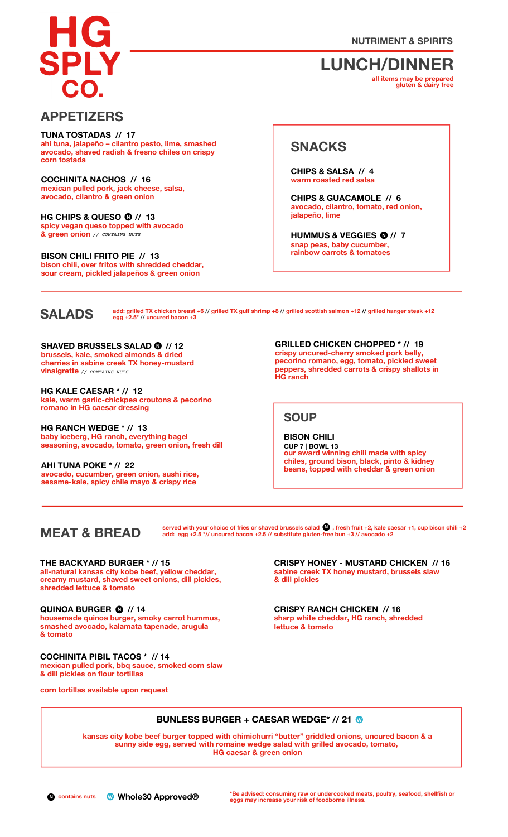**NUTRIMENT & SPIRITS**

# **LUNCH/DINNER**

**all items may be prepared gluten & dairy free**

# **APPETIZERS**

**ahi tuna, jalapeño – cilantro pesto, lime, smashed avocado, shaved radish & fresno chiles on crispy corn tostada TUNA TOSTADAS // 17**

**mexican pulled pork, jack cheese, salsa, avocado, cilantro & green onion COCHINITA NACHOS // 16**

**HG CHIPS & QUESO // 13 •** *// CONTAINS NUTS* **& green onion spicy vegan queso topped with avocado N**

**N N BISON CHILI FRITO PIE // 13 bison chili, over fritos with shredded cheddar, sour cream, pickled jalapeños & green onion**

# **SNACKS**

**warm roasted red salsa CHIPS & SALSA // 4**

**avocado, cilantro, tomato, red onion, jalapeño, lime CHIPS & GUACAMOLE // 6**

**snap peas, baby cucumber, rainbow carrots & tomatoes HUMMUS & VEGGIES // 7 • N**

**SALADS**

add: grilled TX chicken breast +6 // grilled TX gulf shrimp +8 // grilled scottish salmon +12 // grilled hanger steak +12<br>egg +2.5\* // uncured bacon +3

**N SHAVED BRUSSELS SALAD // 12 brussels, kale, smoked almonds & dried cherries in sabine creek TX honey-mustard vinaigrette** *// CONTAINS NUTS*

**kale, warm garlic-chickpea croutons & pecorino romano in HG caesar dressing HG KALE CAESAR \* // 12**

**baby iceberg, HG ranch, everything bagel seasoning, avocado, tomato, green onion, fresh dill HG RANCH WEDGE \* // 13**

**avocado, cucumber, green onion, sushi rice, sesame-kale, spicy chile mayo & crispy rice AHI TUNA POKE \* // 22**

**c**<br> **GRILLED** CHICKEN CHOPPED \* // 19<br> **GRILLED** CHICKEN CHOPPED \* // 19<br> **GRILLED** CHICKEN CHOPPED \* // 19 **pecorino romano, egg, tomato, pickled sweet peppers, shredded carrots & crispy shallots in HG ranch**

**SOUP**

**our award winning chili made with spicy chiles, ground bison, black, pinto & kidney beans, topped with cheddar & green onion BISON CHILI CUP 7 | BOWL 13**

# **MEAT & BREAD**

served with your choice of fries or shaved brussels salad  $\bigcup$  , fresh fruit +2, kale caesar +1, cup bison chili +2 **add: egg +2.5 \*// uncured bacon +2.5 // substitute gluten-• free bun +3 // avocado +2 N**

**THE BACKYARD BURGER \* // 15**

**all-natural kansas city kobe beef, yellow cheddar, creamy mustard, shaved sweet onions, dill pickles, shredded lettuce & tomato**

#### **N QUINOA BURGER // 14**

**• housemade quinoa burger, smoky carrot hummus, smashed avocado, kalamata tapenade, arugula & tomato**

#### **COCHINITA PIBIL TACOS \* // 14**

**mexican pulled pork, bbq sauce, smoked corn slaw & dill pickles on flour tortillas**

**corn tortillas available upon request**

**sabine creek TX honey mustard, brussels slaw & dill pickles CRISPY HONEY - MUSTARD CHICKEN // 16**

**sharp white cheddar, HG ranch, shredded lettuce & tomato CRISPY RANCH CHICKEN // 16**

# **BUNLESS BURGER + CAESAR WEDGE\* // 21 •W**

**kansas city kobe beef burger topped with chimichurri "butter" griddled onions, uncured bacon & a sunny side egg, served with romaine wedge salad with grilled avocado, tomato, HG caesar & green onion**